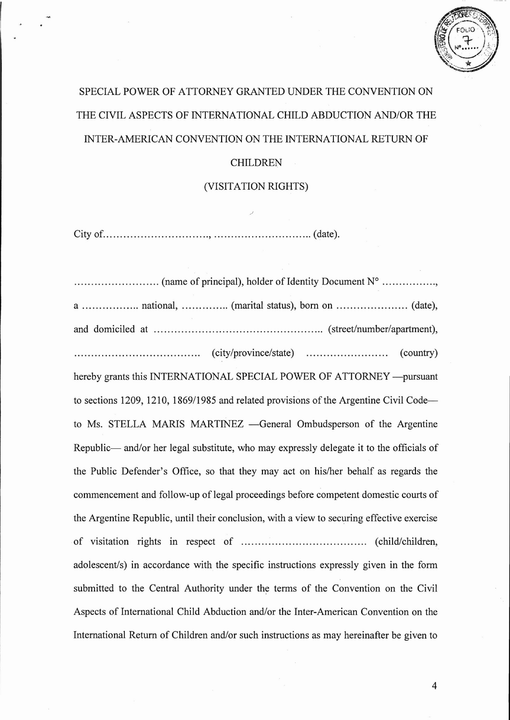

## SPECIAL POWER OF ATTORNEY GRANTED UNDER THE CONVENTION ON THE CIVIL ASPECTS OF INTERNATIONAL CHILD ABDUCTION AND/OR THE INTER-AMERICAN CONVENTION ON THE INTERNATIONAL RETURN OF

## CHILDREN

## (VISITATION RIGHTS)

City of , (date).

...... (name of principal), holder ofIdentity Document N° , a national, (marital status), born on (date), and domiciled at  $\dots\dots\dots\dots\dots\dots\dots\dots\dots\dots\dots\dots\dots\dots\dots\dots$  (street/number/apartment), (city/province/state) (country) hereby grants this INTERNATIONAL SPECIAL POWER OF ATTORNEY -- pursuant to sections 1209, 1210, 1869/1985 and related provisions of the Argentine Civil Code to Ms. STELLA MARIS MARTINEZ - General Ombudsperson of the Argentine Republic— and/or her legal substitute, who may expressly delegate it to the officials of the Public Defender's Office, so that they may act on his/her behalf as regards the commencement and follow-up of legal proceedings before competent domestic courts of the Argentine Republic, until their conclusion, with a view to securing effective exercise of visitation rights in respect of .... (child/children, adolescent/s) in accordance with the specific instructions expressly given in the form submitted to the Central Authority under the terms of the Convention on the Civil Aspects of International Child Abduction and/or the Inter-American Convention on the International Return of Children and/or such instructions as may hereinafter be given to

4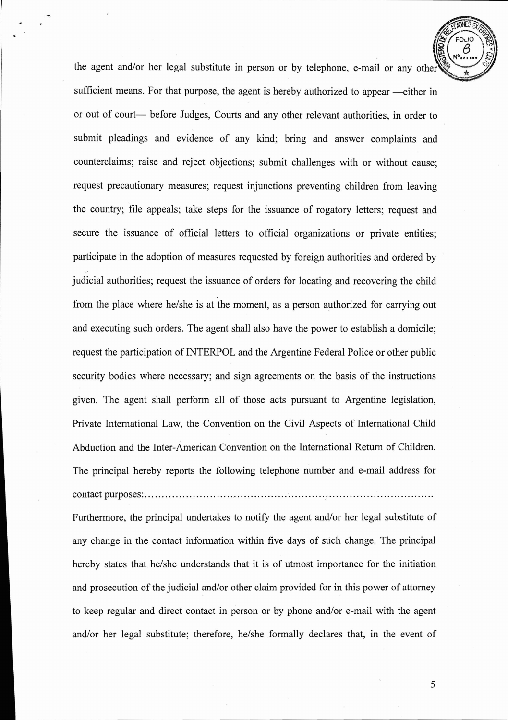the agent and/or her legal substitute in person or by telephone, e-mail or any other sufficient means. For that purpose, the agent is hereby authorized to appear —either in or out of court- before Judges, Courts and any other relevant authorities, in order to submit pleadings and evidence of any kind; bring and answer complaints and counterclaims; raise and reject objections; submit challenges with or without cause; request precautionary measures; request injunctions preventing children from leaving the country; file appeals; take steps for the issuance of rogatory letters; request and secure the issuance of official letters to official organizations or private entities; participate in the adoption of measures requested by foreign authorities and ordered by judicial authorities; request the issuance of orders for locating and recovering the child from the place where he/she is at the moment, as a person authorized for carrying out and executing such orders. The agent shall also have the power to establish a domicile; request the participation of INTERPOL and the Argentine Federal Police or other public security bodies where necessary; and sign agreements on the basis of the instructions given. The agent shall perform all of those acts pursuant to Argentine legislation, Private International Law, the Convention on the Civil Aspects of International Child Abduction and the Inter-American Convention on the International Return of Children. The principal hereby reports the following telephone number and e-mail address for contact purposes: / .

Furthermore, the principal undertakes to notify the agent and/or her legal substitute of any change in the contact information within five days of such change. The principal hereby states that he/she understands that it is of utmost importance for the initiation and prosecution of the judicial and/or other claim provided for in this power of attorney to keep regular and direct contact in person or by phone and/or e-mail with the agent and/or her legal substitute; therefore, he/she formally declares that, in the event of

5